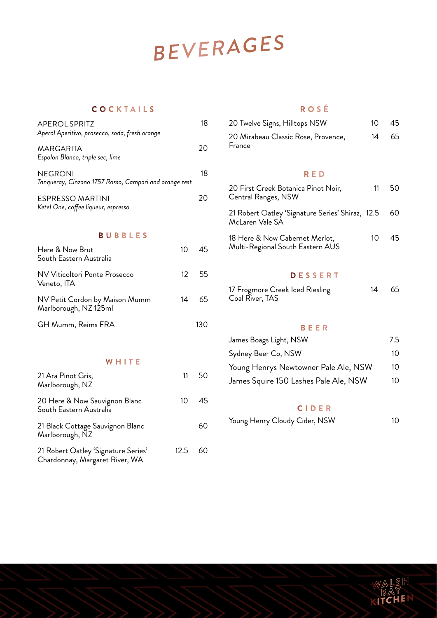# BEVERAGES

# **COCKTAILS**

| <b>APEROL SPRITZ</b><br>Aperol Aperitivo, prosecco, soda, fresh orange   |                 | 18  |
|--------------------------------------------------------------------------|-----------------|-----|
| MARGARITA<br>Espolon Blanco, triple sec, lime                            |                 | 20  |
| <b>NEGRONI</b><br>Tanqueray, Cinzano 1757 Rosso, Campari and orange zest |                 | 18  |
| ESPRESSO MARTINI<br>Ketel One, coffee liqueur, espresso                  |                 | 20  |
| BUBBLES                                                                  |                 |     |
| Here & Now Brut<br>South Eastern Australia                               | 10 <sup>2</sup> | 45  |
| NV Viticoltori Ponte Prosecco<br>Veneto, ITA                             | 12 <sup>°</sup> | 55  |
| NV Petit Cordon by Maison Mumm<br>Marlborough, NZ 125ml                  | 14              | 65  |
| GH Mumm, Reims FRA                                                       |                 | 130 |

## **ROSÉ**

| 20 Twelve Signs, Hilltops NSW                 | $1 \cap$ | 45 |
|-----------------------------------------------|----------|----|
| 20 Mirabeau Classic Rose, Provence,<br>France | 14       | 65 |

### **RED**

| 20 First Creek Botanica Pinot Noir,<br>Central Ranges, NSW          | 11           | 50. |
|---------------------------------------------------------------------|--------------|-----|
| 21 Robert Oatley 'Signature Series' Shiraz, 12.5<br>McLaren Vale SA |              | 60  |
| 18 Here & Now Cabernet Merlot,<br>Multi-Regional South Eastern AUS  | $10^{\circ}$ | 45. |

### **DESSERT**

| 17 Frogmore Creek Iced Riesling | 14 | - 65 |
|---------------------------------|----|------|
| Coal River, TAS                 |    |      |

### **BEER**

| James Boags Light, NSW                | 7.5 |
|---------------------------------------|-----|
| Sydney Beer Co, NSW                   | 10  |
| Young Henrys Newtowner Pale Ale, NSW  | 10  |
| James Squire 150 Lashes Pale Ale, NSW | 10  |

#### **CIDER**

| Young Henry Cloudy Cider, NSW | 10 |
|-------------------------------|----|
|                               |    |
|                               |    |

| 21 Ara Pinot Gris,<br>Marlborough, NZ                                 | 11   | - 50 |
|-----------------------------------------------------------------------|------|------|
| 20 Here & Now Sauvignon Blanc<br>South Eastern Australia              | 10 I | -45  |
| 21 Black Cottage Sauvignon Blanc<br>Marlborough, NZ                   |      | 60   |
| 21 Robert Oatley 'Signature Series'<br>Chardonnay, Margaret River, WA | 12.5 | 60   |